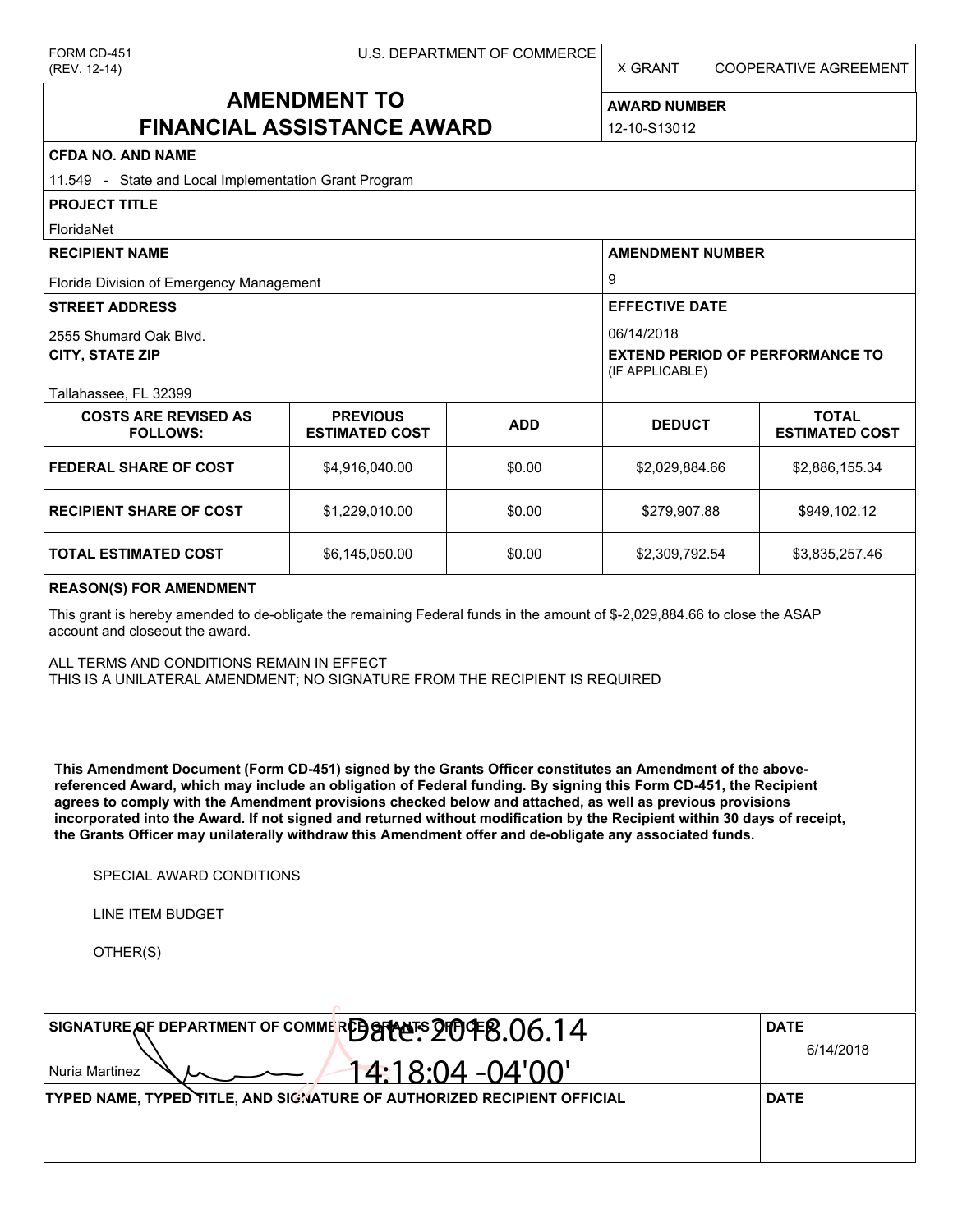X GRANT COOPERATIVE AGREEMENT

# **AMENDMENT TO FINANCIAL ASSISTANCE AWARD**

**AWARD NUMBER** 12-10-S13012

| <b>CFDA NO. AND NAME</b>                                                                                                                                                                                                                                                                                                                                                                                                                                                                                                                                                          |                                          |                    |                                                           |                                       |  |  |  |
|-----------------------------------------------------------------------------------------------------------------------------------------------------------------------------------------------------------------------------------------------------------------------------------------------------------------------------------------------------------------------------------------------------------------------------------------------------------------------------------------------------------------------------------------------------------------------------------|------------------------------------------|--------------------|-----------------------------------------------------------|---------------------------------------|--|--|--|
| 11.549 - State and Local Implementation Grant Program                                                                                                                                                                                                                                                                                                                                                                                                                                                                                                                             |                                          |                    |                                                           |                                       |  |  |  |
| <b>PROJECT TITLE</b>                                                                                                                                                                                                                                                                                                                                                                                                                                                                                                                                                              |                                          |                    |                                                           |                                       |  |  |  |
| FloridaNet<br><b>RECIPIENT NAME</b>                                                                                                                                                                                                                                                                                                                                                                                                                                                                                                                                               |                                          |                    |                                                           |                                       |  |  |  |
|                                                                                                                                                                                                                                                                                                                                                                                                                                                                                                                                                                                   |                                          |                    | <b>AMENDMENT NUMBER</b>                                   |                                       |  |  |  |
| Florida Division of Emergency Management                                                                                                                                                                                                                                                                                                                                                                                                                                                                                                                                          |                                          |                    | 9                                                         |                                       |  |  |  |
| <b>STREET ADDRESS</b>                                                                                                                                                                                                                                                                                                                                                                                                                                                                                                                                                             |                                          |                    | <b>EFFECTIVE DATE</b><br>06/14/2018                       |                                       |  |  |  |
| 2555 Shumard Oak Blvd.                                                                                                                                                                                                                                                                                                                                                                                                                                                                                                                                                            |                                          |                    |                                                           |                                       |  |  |  |
| <b>CITY, STATE ZIP</b>                                                                                                                                                                                                                                                                                                                                                                                                                                                                                                                                                            |                                          |                    | <b>EXTEND PERIOD OF PERFORMANCE TO</b><br>(IF APPLICABLE) |                                       |  |  |  |
| Tallahassee, FL 32399                                                                                                                                                                                                                                                                                                                                                                                                                                                                                                                                                             |                                          |                    |                                                           |                                       |  |  |  |
| <b>COSTS ARE REVISED AS</b><br><b>FOLLOWS:</b>                                                                                                                                                                                                                                                                                                                                                                                                                                                                                                                                    | <b>PREVIOUS</b><br><b>ESTIMATED COST</b> | <b>ADD</b>         | <b>DEDUCT</b>                                             | <b>TOTAL</b><br><b>ESTIMATED COST</b> |  |  |  |
| <b>FEDERAL SHARE OF COST</b>                                                                                                                                                                                                                                                                                                                                                                                                                                                                                                                                                      | \$4,916,040.00                           | \$0.00             | \$2,029,884.66                                            | \$2,886,155.34                        |  |  |  |
| <b>RECIPIENT SHARE OF COST</b>                                                                                                                                                                                                                                                                                                                                                                                                                                                                                                                                                    | \$1,229,010.00                           | \$0.00             | \$279,907.88                                              | \$949,102.12                          |  |  |  |
| TOTAL ESTIMATED COST                                                                                                                                                                                                                                                                                                                                                                                                                                                                                                                                                              | \$6,145,050.00                           | \$0.00             | \$2,309,792.54                                            | \$3,835,257.46                        |  |  |  |
| <b>REASON(S) FOR AMENDMENT</b>                                                                                                                                                                                                                                                                                                                                                                                                                                                                                                                                                    |                                          |                    |                                                           |                                       |  |  |  |
| This grant is hereby amended to de-obligate the remaining Federal funds in the amount of \$-2,029,884.66 to close the ASAP<br>account and closeout the award.                                                                                                                                                                                                                                                                                                                                                                                                                     |                                          |                    |                                                           |                                       |  |  |  |
| ALL TERMS AND CONDITIONS REMAIN IN EFFECT<br>THIS IS A UNILATERAL AMENDMENT; NO SIGNATURE FROM THE RECIPIENT IS REQUIRED                                                                                                                                                                                                                                                                                                                                                                                                                                                          |                                          |                    |                                                           |                                       |  |  |  |
| This Amendment Document (Form CD-451) signed by the Grants Officer constitutes an Amendment of the above-<br>referenced Award, which may include an obligation of Federal funding. By signing this Form CD-451, the Recipient<br>agrees to comply with the Amendment provisions checked below and attached, as well as previous provisions<br>incorporated into the Award. If not signed and returned without modification by the Recipient within 30 days of receipt,<br>the Grants Officer may unilaterally withdraw this Amendment offer and de-obligate any associated funds. |                                          |                    |                                                           |                                       |  |  |  |
| SPECIAL AWARD CONDITIONS                                                                                                                                                                                                                                                                                                                                                                                                                                                                                                                                                          |                                          |                    |                                                           |                                       |  |  |  |
| LINE ITEM BUDGET                                                                                                                                                                                                                                                                                                                                                                                                                                                                                                                                                                  |                                          |                    |                                                           |                                       |  |  |  |
| OTHER(S)                                                                                                                                                                                                                                                                                                                                                                                                                                                                                                                                                                          |                                          |                    |                                                           |                                       |  |  |  |
|                                                                                                                                                                                                                                                                                                                                                                                                                                                                                                                                                                                   |                                          |                    |                                                           |                                       |  |  |  |
| SIGNATURE QF DEPARTMENT OF COMMERED OPPOF 2004 E.06.14                                                                                                                                                                                                                                                                                                                                                                                                                                                                                                                            | <b>DATE</b>                              |                    |                                                           |                                       |  |  |  |
| Nuria Martinez                                                                                                                                                                                                                                                                                                                                                                                                                                                                                                                                                                    |                                          | $4:18:04 - 04'00'$ |                                                           | 6/14/2018                             |  |  |  |
| TYPED NAME, TYPED TITLE, AND SIGNATURE OF AUTHORIZED RECIPIENT OFFICIAL                                                                                                                                                                                                                                                                                                                                                                                                                                                                                                           | <b>DATE</b>                              |                    |                                                           |                                       |  |  |  |